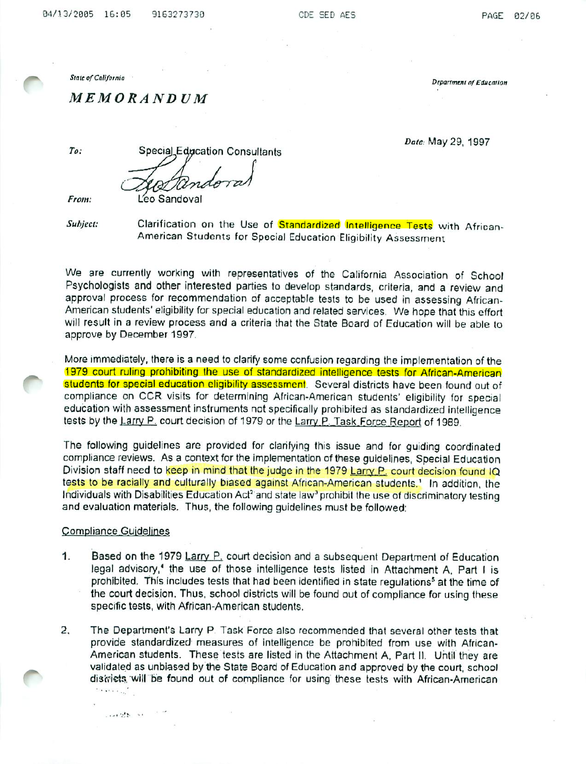State of California " Department of Education" Department of Education

MEMORANDUM

Date: May 29, 1997

To: Special Education Consultants From: Leo Sandoval

Subject: Clarification on the Use of Standardized Intelligence Tests with African-American Students for Special Education Eligibility Assessment

We are currently working with representatives of the California Association of School Psychologists and other interested parties to develop standards, criteria, and a review and approval process for recommendation of acceptable tests to be used in assessing African-American students' eligibility for special education and related services. We hope that this effort will result in a review process and a criteria that the State Board of Education will be able to approve by December 1997

More immediately, there is a need to clarify some confusion regarding the implementation of the 1979 court ruling prohibiting the use of standardized intelligence tests for African-American students for special education eligibility assessment. Several districts have been found out of compliance on CCR visits for determining African-American students' eligibility for special education with assessment instruments not specifically prohibited as standardized intelligence tests by the Larry P. court decision of 1979 or the Larry P. Task Force Report of 1989.

The following guidelines are provided for clarifying this issue and for guiding coordinated compliance reviews. As a context for the implementation of these guidelines, Special Education Division staff need to keep in mind that the judge in the 1979 Larry P. court decision found IQ tests to be racially and culturally biased against African-American students.<sup>1</sup> In addition, the Individuals with Disabilities Education Act<sup>2</sup> and state law<sup>3</sup> prohibit the use of discriminatory testing and evaluation materials. Thus, the following guidelines must be followed:

#### Compliance Guidelines

. -.i :■',\*■ -■

- 1. Based on the 1979 Larry P. court decision and a subsequent Department of Education legal advisory,<sup>4</sup> the use of those intelligence tests listed in Attachment A, Part I is prohibited. This includes tests that had been identified in state regulations<sup>5</sup> at the time of the court decision. Thus, school districts will be found out of compliance for using these specific tests, with African-American students.
- 2. The Department's Larry P Task Force also recommended that several other tests that provide standardized measures of intelligence be prohibited from use with African-American students. These tests are listed in the Attachment A, Part II. Until they are validated as unbiased by the State Board of Education and approved by the court, school disfricte, will be found out of compliance for using these tests with African-American  $\sim$  and  $\sim$   $\sim$   $\sim$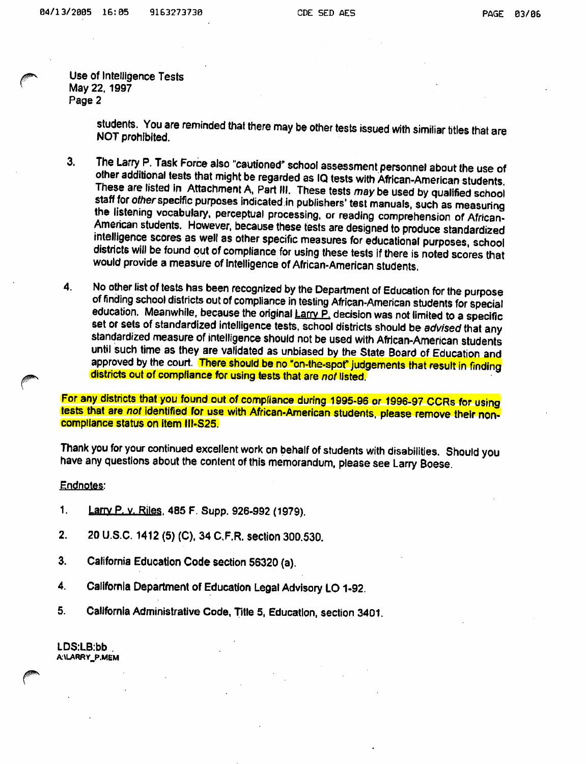Use of Intelligence Tests May 22.1997 Page 2

students. You are reminded that there may be other tests issued with similiar titles that are NOT prohibited.

- 3. The Larry P. Task Force also "cautioned" school assessment personnel about the use of other additional tests that might be regarded as IQ tests with African-American students These are listed in Attachment A, Part III. These tests may be used by qualified school staff for other specific purposes indicated in publishers' test manuals, such as measuring the listening vocabulary, perceptual processing, or reading comprehension of African-Amencan students. However, because these tests are designed to produce standardized intelligence scores as well as other specific measures for educational purposes, school districts will be found out of compliance for using these tests if there is noted scores that would provide a measure of intelligence of African-American students.
- 4. No other list of tests has been recognized by the Department of Education for the purpose of finding school districts out of compliance in testing African-American students for special education. Meanwhile, because the original Larry P. decision was not limited to a specific set or sets of standardized intelligence tests, school districts should be advised that any standardized measure of intelligence should not be used with African-American students until such time as they are validated as unbiased by the State Board of Education and approved by the court. There should be no "on-the-spot" judgements that result in finding districts out of compliance for using tests that are not listed.

For any districts that you found out of compliance during 1995-96 or 1996-97 CCRs for using tests that are not identified for use with African-American students, please remove their noncompliance status on item III-S25.

Thank you for your continued excellent work on behalf of students with disabilities. Should you have any questions about the content of this memorandum, please see Larry Boese.

#### Endnotes:

- 1. **Larry P. v. Riles, 485 F. Supp. 926-992 (1979).**
- 2. 20 U.S.C. 1412 (5) (C), 34 C.F.R. section 300.530.
- 3. California Education Code section 56320 (a).
- 4. California Department of Education Legal Advisory LO 1-92.
- 5. California Administrative Code, Title 5, Education, section 3401.

LDS:LB:bb . A:\LARRY\_P.MeM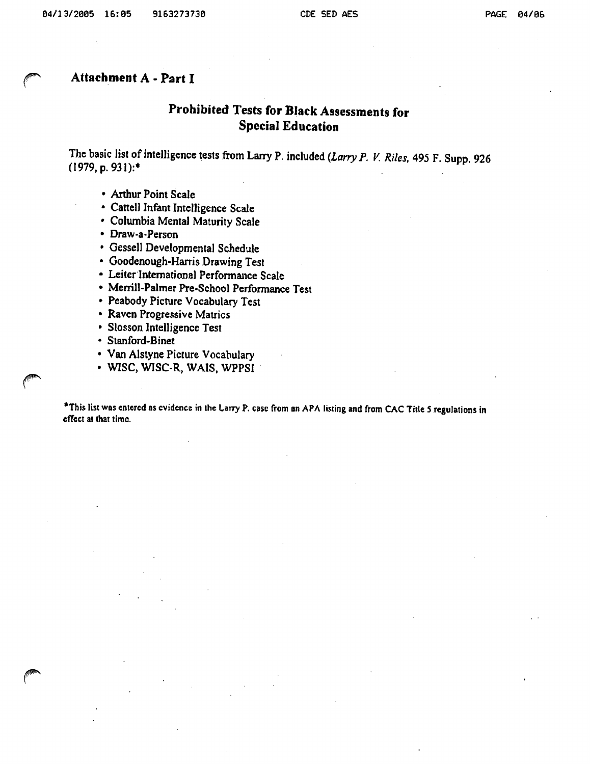### Attachment A - Part I

## Prohibited Tests for Black Assessments for Special Education

The basic list of intelligence tests from Larry P. included (Larry P. V. Riles, 495 F. Supp. 926  $(1979, p. 931):$ \*

- Arthur Point Scale
- Cattell Infant Intelligence Scale
- Columbia Mental Maturity Scale
- Draw-a-Person
- » Gessell Developmental Schedule
- Goodenough-Harris Drawing Test
- Leiter International Performance Scale
- Merrill-Palmer Pre-School Performance Test
- » Peabody Picture Vocabulary Test
- Raven Progressive Matrics
- Slosson Intelligence Test
- Stanford-Binet
- Van Alstyne Picture Vocabulary
- WISC, WISC-R, WAIS, WPPSI

\*This list was entered as evidence in the Larry P. case from an APA listing and from CAC Title 5 regulations in effect at that time.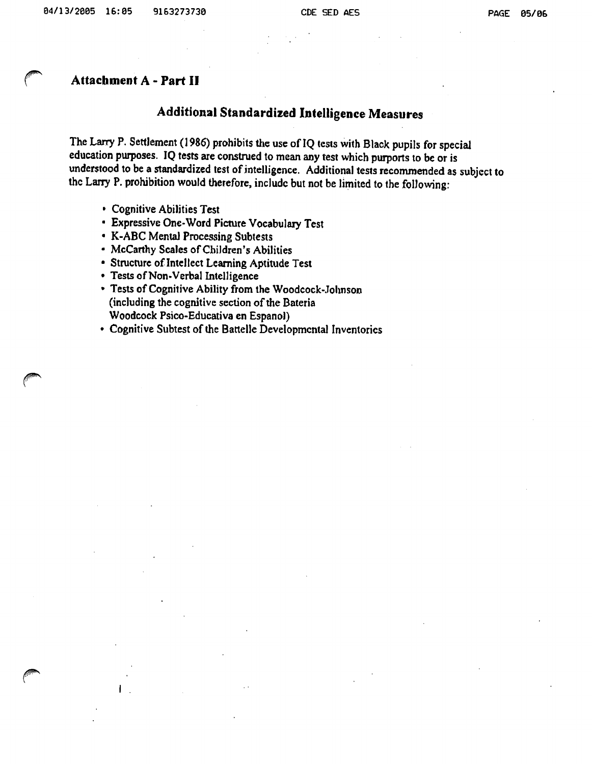### Attachment A - Part II

## Additional Standardized Intelligence Measures

The Larry P. Settlement (1986) prohibits the use of IQ tests with Black pupils for special education purposes. IQ tests are construed to mean any test which purports to be or is understood to be a standardized test of intelligence. Additional tests recommended as subject to the Larry P. prohibition would therefore, include but not be limited to the folJowing:

- Cognitive Abilities Test
- Expressive One-Word Picture Vocabulary Test
- K-ABC Mental Processing Subtests
- McCarthy Scales of Children's Abilities
- Structure of Intellect Learning Aptitude Test
- Tests of Non-Verbal Intelligence
- Tests of Cognitive Ability from the Woodcock-Johnson (including the cognitive section of the Bateria Woodcock Psico-Educativa en Espanol)
- Cognitive Subtest of the Battelle Developmental Inventories